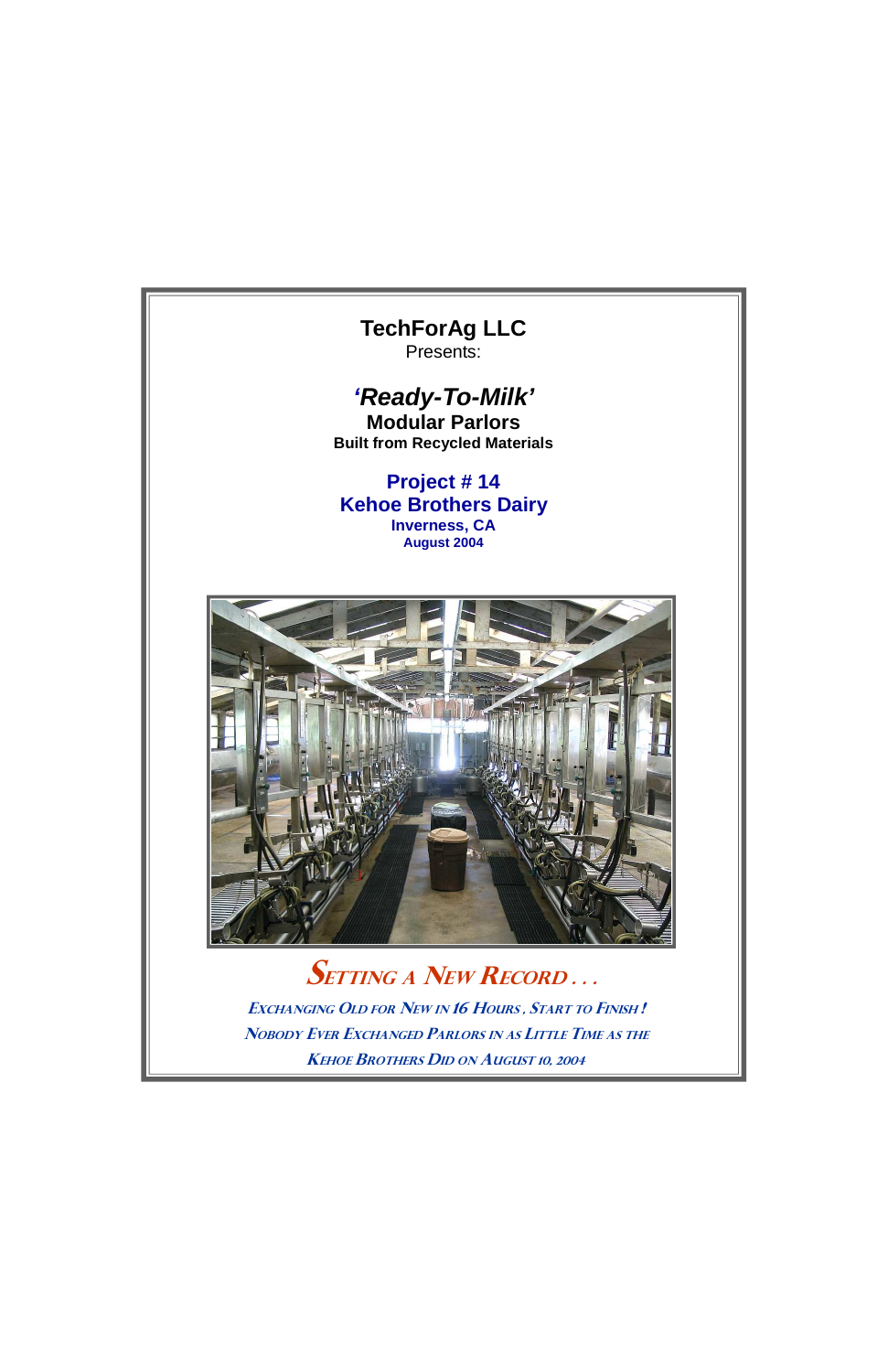

**SETTING A NEW RECORD...** EXCHANGING OLD FOR NEW IN 16 HOURS, START TO FINISH!

NOBODY EVER EXCHANGED PARLORS IN AS LITTLE TIME AS THE

**KEHOE BROTHERS DID ON AUGUST 10, 2004**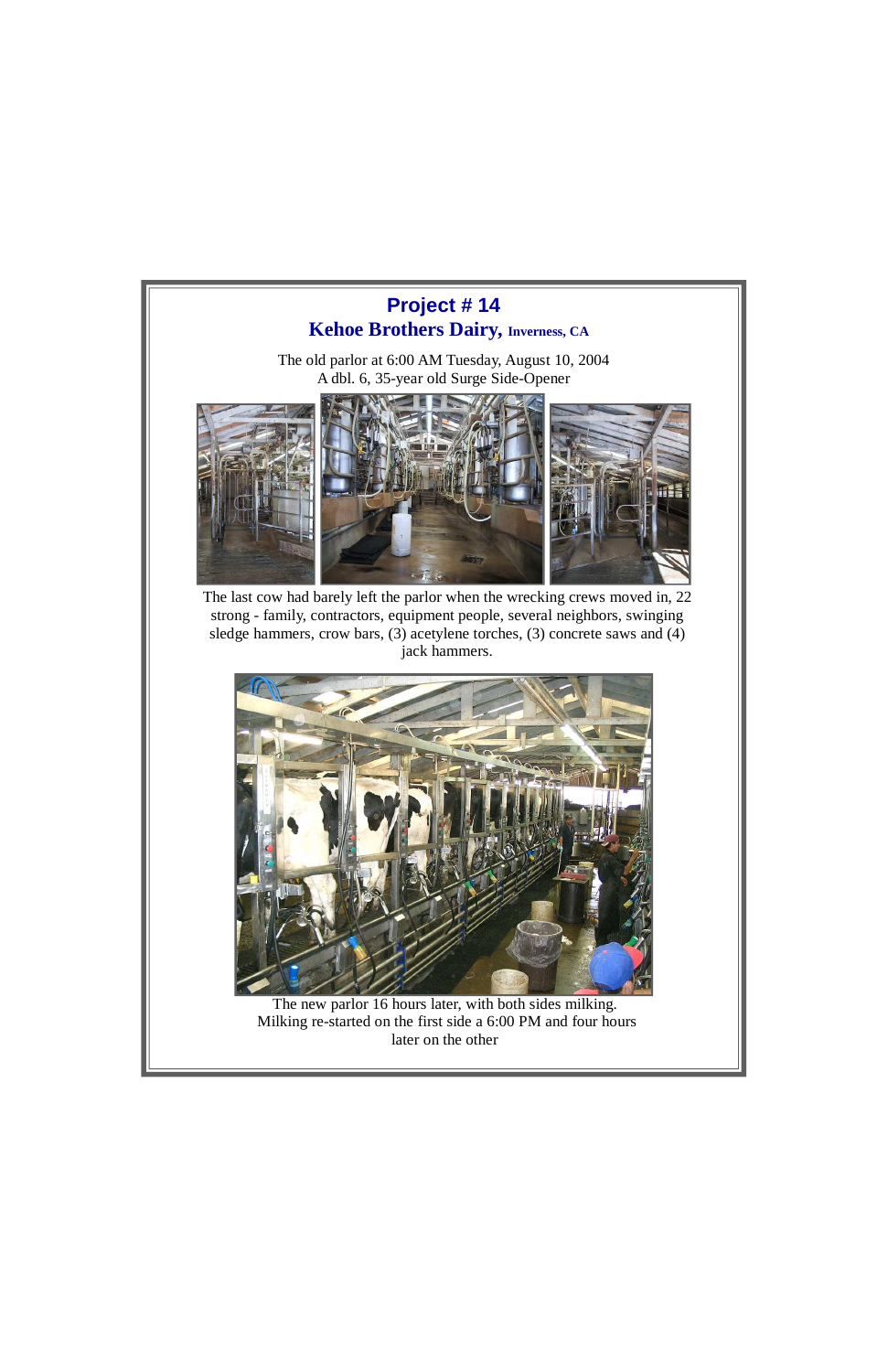



The new parlor 16 hours later, with both sides milking.

 Milking re-started on the first side a 6:00 PM and four hours later on the other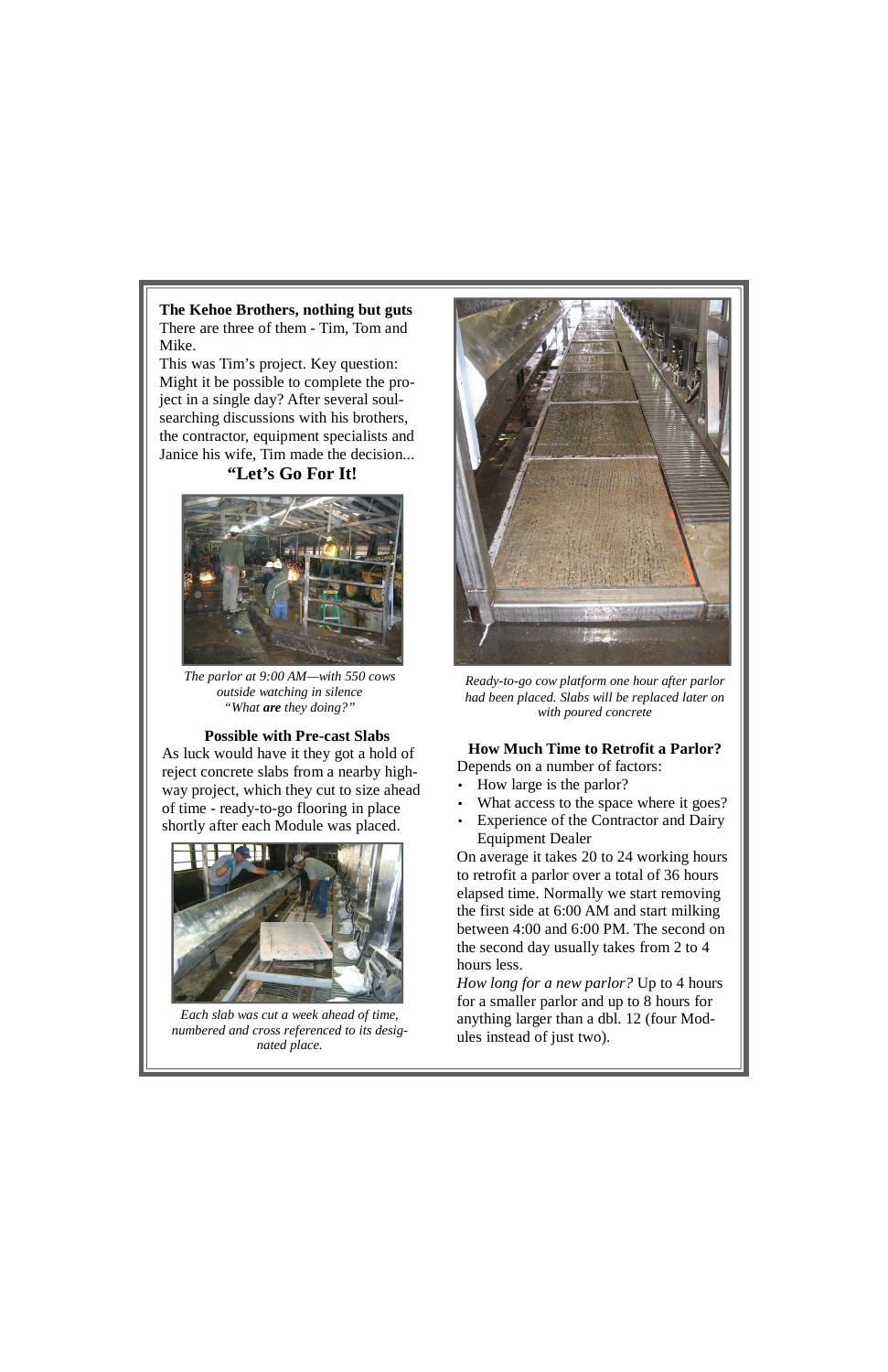**The Kehoe Brothers, nothing but guts**  There are three of them - Tim, Tom and Mike.

This was Tim's project. Key question: Might it be possible to complete the project in a single day? After several soulsearching discussions with his brothers, the contractor, equipment specialists and Janice his wife, Tim made the decision...

## **"Let's Go For It!**



*The parlor at 9:00 AM—with 550 cows outside watching in silence "What are they doing?"* 

## **Possible with Pre-cast Slabs**

- How large is the parlor?
- What access to the space where it goes?
- Experience of the Contractor and Dairy Equipment Dealer

As luck would have it they got a hold of reject concrete slabs from a nearby highway project, which they cut to size ahead of time - ready-to-go flooring in place shortly after each Module was placed.



*Each slab was cut a week ahead of time, numbered and cross referenced to its designated place.* 



*Ready-to-go cow platform one hour after parlor had been placed. Slabs will be replaced later on with poured concrete*

## **How Much Time to Retrofit a Parlor?**  Depends on a number of factors:

On average it takes 20 to 24 working hours to retrofit a parlor over a total of 36 hours elapsed time. Normally we start removing the first side at 6:00 AM and start milking between 4:00 and 6:00 PM. The second on the second day usually takes from 2 to 4 hours less.

*How long for a new parlor?* Up to 4 hours for a smaller parlor and up to 8 hours for

anything larger than a dbl. 12 (four Modules instead of just two).